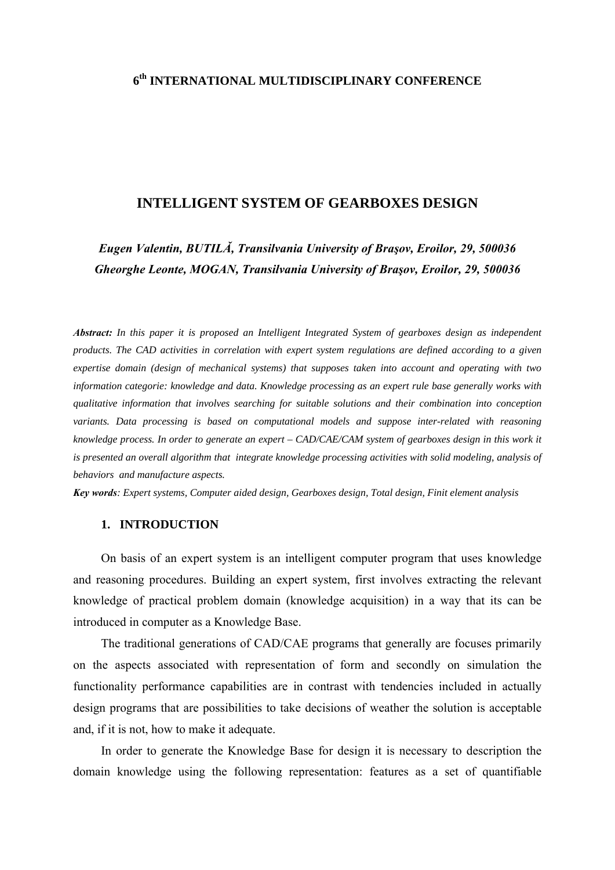# **6th INTERNATIONAL MULTIDISCIPLINARY CONFERENCE**

### **INTELLIGENT SYSTEM OF GEARBOXES DESIGN**

*Eugen Valentin, BUTILĂ, Transilvania University of Braşov, Eroilor, 29, 500036 Gheorghe Leonte, MOGAN, Transilvania University of Braşov, Eroilor, 29, 500036* 

*Abstract: In this paper it is proposed an Intelligent Integrated System of gearboxes design as independent products. The CAD activities in correlation with expert system regulations are defined according to a given expertise domain (design of mechanical systems) that supposes taken into account and operating with two information categorie: knowledge and data. Knowledge processing as an expert rule base generally works with qualitative information that involves searching for suitable solutions and their combination into conception variants. Data processing is based on computational models and suppose inter-related with reasoning knowledge process. In order to generate an expert – CAD/CAE/CAM system of gearboxes design in this work it is presented an overall algorithm that integrate knowledge processing activities with solid modeling, analysis of behaviors and manufacture aspects.* 

*Key words: Expert systems, Computer aided design, Gearboxes design, Total design, Finit element analysis* 

#### **1. INTRODUCTION**

On basis of an expert system is an intelligent computer program that uses knowledge and reasoning procedures. Building an expert system, first involves extracting the relevant knowledge of practical problem domain (knowledge acquisition) in a way that its can be introduced in computer as a Knowledge Base.

The traditional generations of CAD/CAE programs that generally are focuses primarily on the aspects associated with representation of form and secondly on simulation the functionality performance capabilities are in contrast with tendencies included in actually design programs that are possibilities to take decisions of weather the solution is acceptable and, if it is not, how to make it adequate.

In order to generate the Knowledge Base for design it is necessary to description the domain knowledge using the following representation: features as a set of quantifiable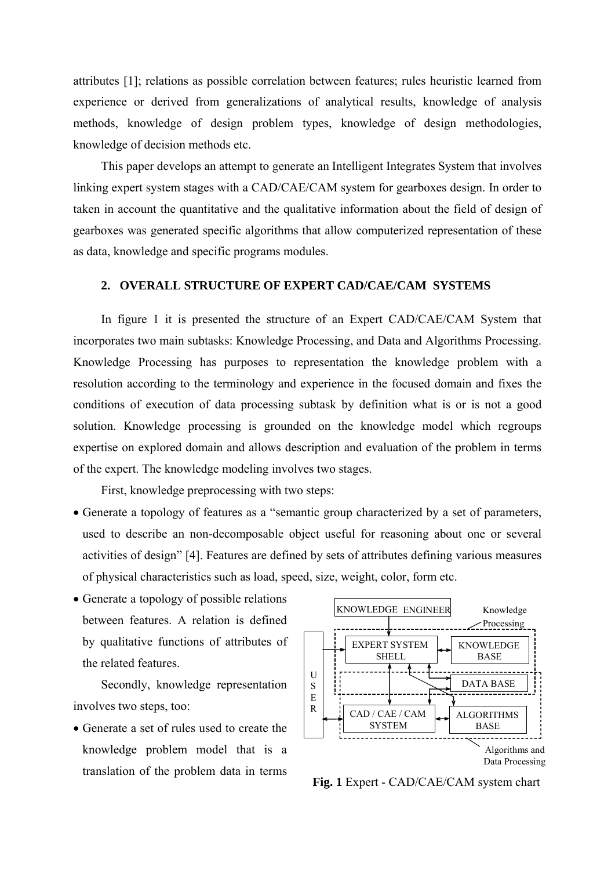attributes [1]; relations as possible correlation between features; rules heuristic learned from experience or derived from generalizations of analytical results, knowledge of analysis methods, knowledge of design problem types, knowledge of design methodologies, knowledge of decision methods etc.

This paper develops an attempt to generate an Intelligent Integrates System that involves linking expert system stages with a CAD/CAE/CAM system for gearboxes design. In order to taken in account the quantitative and the qualitative information about the field of design of gearboxes was generated specific algorithms that allow computerized representation of these as data, knowledge and specific programs modules.

### **2. OVERALL STRUCTURE OF EXPERT CAD/CAE/CAM SYSTEMS**

In figure 1 it is presented the structure of an Expert CAD/CAE/CAM System that incorporates two main subtasks: Knowledge Processing, and Data and Algorithms Processing. Knowledge Processing has purposes to representation the knowledge problem with a resolution according to the terminology and experience in the focused domain and fixes the conditions of execution of data processing subtask by definition what is or is not a good solution. Knowledge processing is grounded on the knowledge model which regroups expertise on explored domain and allows description and evaluation of the problem in terms of the expert. The knowledge modeling involves two stages.

First, knowledge preprocessing with two steps:

- Generate a topology of features as a "semantic group characterized by a set of parameters, used to describe an non-decomposable object useful for reasoning about one or several activities of design" [4]. Features are defined by sets of attributes defining various measures of physical characteristics such as load, speed, size, weight, color, form etc.
- Generate a topology of possible relations between features. A relation is defined by qualitative functions of attributes of the related features.

Secondly, knowledge representation involves two steps, too:

• Generate a set of rules used to create the knowledge problem model that is a translation of the problem data in terms



**Fig. 1** Expert - CAD/CAE/CAM system chart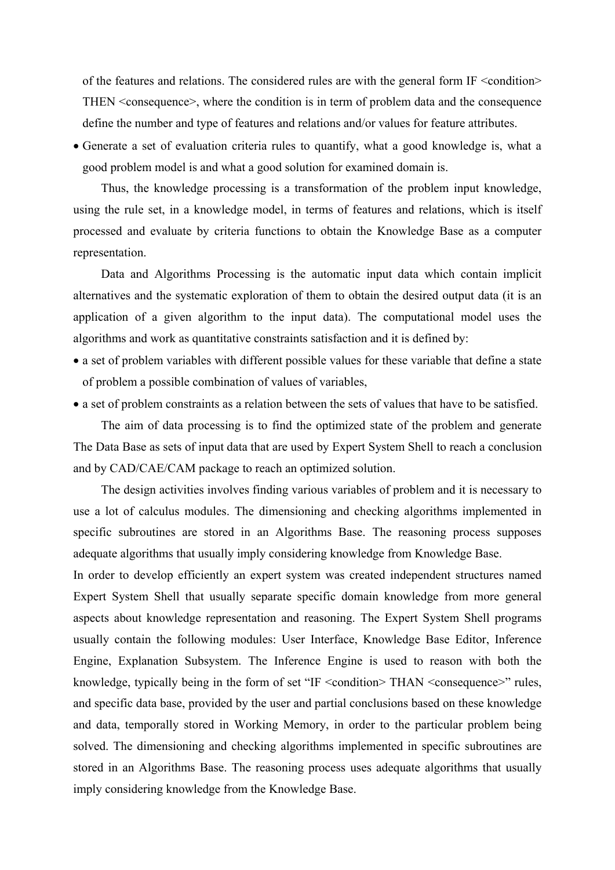of the features and relations. The considered rules are with the general form IF  $\leq$ condition $\geq$ THEN <consequence>, where the condition is in term of problem data and the consequence define the number and type of features and relations and/or values for feature attributes.

• Generate a set of evaluation criteria rules to quantify, what a good knowledge is, what a good problem model is and what a good solution for examined domain is.

Thus, the knowledge processing is a transformation of the problem input knowledge, using the rule set, in a knowledge model, in terms of features and relations, which is itself processed and evaluate by criteria functions to obtain the Knowledge Base as a computer representation.

Data and Algorithms Processing is the automatic input data which contain implicit alternatives and the systematic exploration of them to obtain the desired output data (it is an application of a given algorithm to the input data). The computational model uses the algorithms and work as quantitative constraints satisfaction and it is defined by:

- a set of problem variables with different possible values for these variable that define a state of problem a possible combination of values of variables,
- a set of problem constraints as a relation between the sets of values that have to be satisfied.

The aim of data processing is to find the optimized state of the problem and generate The Data Base as sets of input data that are used by Expert System Shell to reach a conclusion and by CAD/CAE/CAM package to reach an optimized solution.

The design activities involves finding various variables of problem and it is necessary to use a lot of calculus modules. The dimensioning and checking algorithms implemented in specific subroutines are stored in an Algorithms Base. The reasoning process supposes adequate algorithms that usually imply considering knowledge from Knowledge Base.

In order to develop efficiently an expert system was created independent structures named Expert System Shell that usually separate specific domain knowledge from more general aspects about knowledge representation and reasoning. The Expert System Shell programs usually contain the following modules: User Interface, Knowledge Base Editor, Inference Engine, Explanation Subsystem. The Inference Engine is used to reason with both the knowledge, typically being in the form of set "IF <condition> THAN <consequence>" rules, and specific data base, provided by the user and partial conclusions based on these knowledge and data, temporally stored in Working Memory, in order to the particular problem being solved. The dimensioning and checking algorithms implemented in specific subroutines are stored in an Algorithms Base. The reasoning process uses adequate algorithms that usually imply considering knowledge from the Knowledge Base.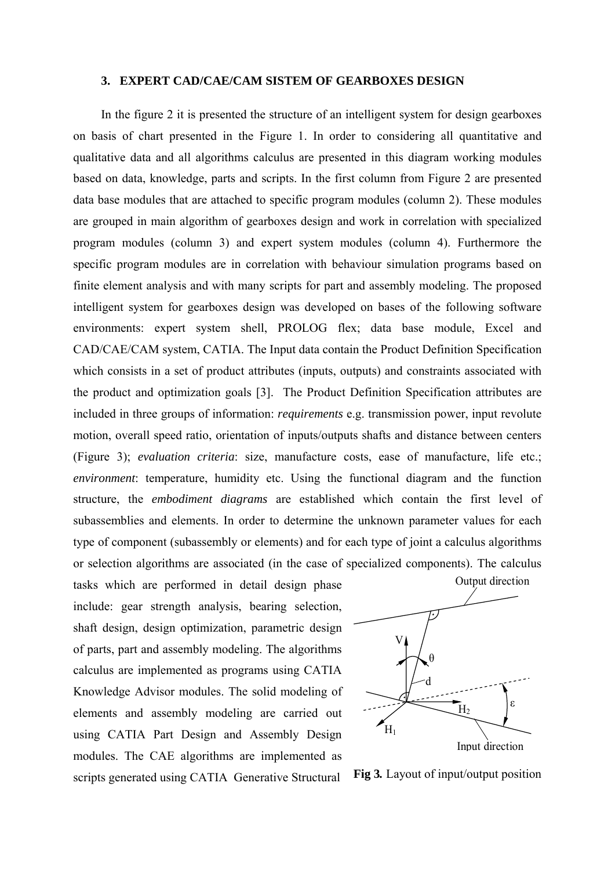### **3. EXPERT CAD/CAE/CAM SISTEM OF GEARBOXES DESIGN**

In the figure 2 it is presented the structure of an intelligent system for design gearboxes on basis of chart presented in the Figure 1. In order to considering all quantitative and qualitative data and all algorithms calculus are presented in this diagram working modules based on data, knowledge, parts and scripts. In the first column from Figure 2 are presented data base modules that are attached to specific program modules (column 2). These modules are grouped in main algorithm of gearboxes design and work in correlation with specialized program modules (column 3) and expert system modules (column 4). Furthermore the specific program modules are in correlation with behaviour simulation programs based on finite element analysis and with many scripts for part and assembly modeling. The proposed intelligent system for gearboxes design was developed on bases of the following software environments: expert system shell, PROLOG flex; data base module, Excel and CAD/CAE/CAM system, CATIA. The Input data contain the Product Definition Specification which consists in a set of product attributes (inputs, outputs) and constraints associated with the product and optimization goals [3]. The Product Definition Specification attributes are included in three groups of information: *requirements* e.g. transmission power, input revolute motion, overall speed ratio, orientation of inputs/outputs shafts and distance between centers (Figure 3); *evaluation criteria*: size, manufacture costs, ease of manufacture, life etc.; *environment*: temperature, humidity etc. Using the functional diagram and the function structure, the *embodiment diagrams* are established which contain the first level of subassemblies and elements. In order to determine the unknown parameter values for each type of component (subassembly or elements) and for each type of joint a calculus algorithms or selection algorithms are associated (in the case of specialized components). The calculus

tasks which are performed in detail design phase include: gear strength analysis, bearing selection, shaft design, design optimization, parametric design of parts, part and assembly modeling. The algorithms calculus are implemented as programs using CATIA Knowledge Advisor modules. The solid modeling of elements and assembly modeling are carried out using CATIA Part Design and Assembly Design modules. The CAE algorithms are implemented as scripts generated using CATIA Generative Structural



**Fig 3***.* Layout of input/output position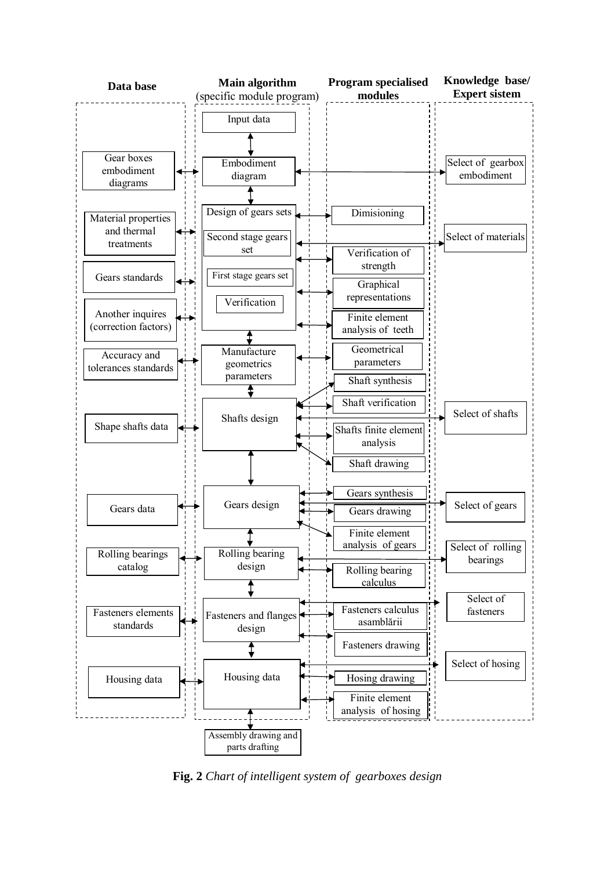

**Fig. 2** *Chart of intelligent system of gearboxes design*